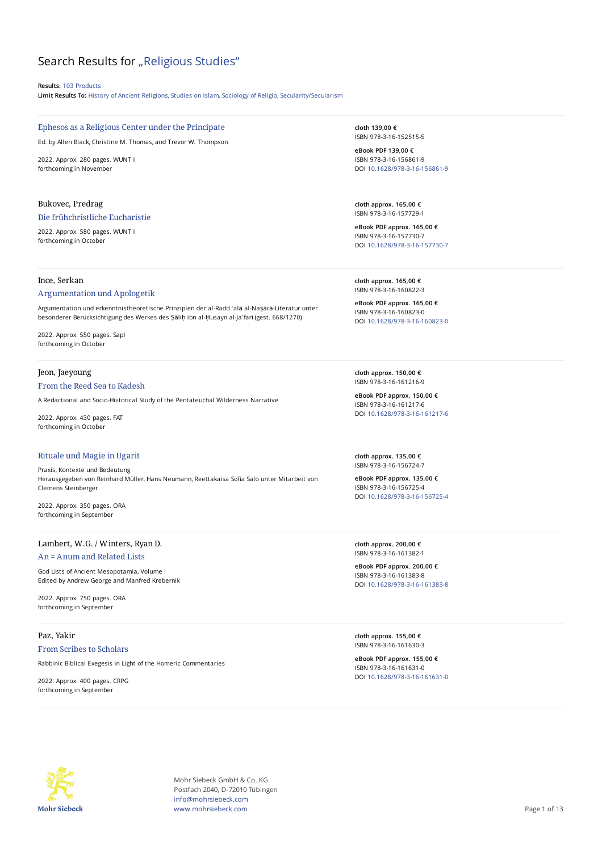# Search Results for "Religious Studies"

**Results:** 103 Products

**Limit Results To:** History of Ancient Religions, Studies on Islam, Sociology of Religio, Secularity/Secularism

# Ephesos as a Religious Center under the Principate

Ed. by Allen Black, Christine M. Thomas, and Trevor W. Thompson

2022. Approx. 280 pages. WUNT I forthcoming in November

# Bukovec, Predrag

#### Die frühchristliche Eucharistie

2022. Approx. 580 pages. WUNT I forthcoming in October

# Ince, Serkan

## Argumentation und Apologetik

Argumentation und erkenntnistheoretische Prinzipien der al-Radd ʿalā al-Naṣārā-Literatur unter besonderer Berücksichtigung des Werkes des Ṣāliḥ ibn al-Ḥusayn al-Jaʿfarī (gest. 668/1270)

2022. Approx. 550 pages. SapI forthcoming in October

# Jeon, Jaeyoung

#### From the Reed Sea to Kadesh

A Redactional and Socio-Historical Study of the Pentateuchal Wilderness Narrative

2022. Approx. 430 pages. FAT forthcoming in October

#### Rituale und Magie in Ugarit

Praxis, Kontexte und Bedeutung Herausgegeben von Reinhard Müller, Hans Neumann, Reettakaisa Sofia Salo unter Mitarbeit von Clemens Steinberger

2022. Approx. 350 pages. ORA forthcoming in September

# Lambert, W.G. / Winters, Ryan D.

# An = Anum and Related Lists

God Lists of Ancient Mesopotamia, Volume I Edited by Andrew George and Manfred Krebernik

2022. Approx. 750 pages. ORA forthcoming in September

# Paz, Yakir From Scribes to Scholars

Rabbinic Biblical Exegesis in Light of the Homeric Commentaries

2022. Approx. 400 pages. CRPG forthcoming in September

**cloth 139,00 €** ISBN 978-3-16-152515-5

**eBook PDF 139,00 €** ISBN 978-3-16-156861-9 DOI [10.1628/978-3-16-156861-9](https://doi.org/10.1628/978-3-16-156861-9)

**cloth approx. 165,00 €** ISBN 978-3-16-157729-1

**eBook PDF approx. 165,00 €** ISBN 978-3-16-157730-7 DOI [10.1628/978-3-16-157730-7](https://doi.org/10.1628/978-3-16-157730-7)

**cloth approx. 165,00 €** ISBN 978-3-16-160822-3

**eBook PDF approx. 165,00 €** ISBN 978-3-16-160823-0 DOI [10.1628/978-3-16-160823-0](https://doi.org/10.1628/978-3-16-160823-0)

**cloth approx. 150,00 €** ISBN 978-3-16-161216-9

**eBook PDF approx. 150,00 €** ISBN 978-3-16-161217-6 DOI [10.1628/978-3-16-161217-6](https://doi.org/10.1628/978-3-16-161217-6)

**cloth approx. 135,00 €** ISBN 978-3-16-156724-7

**eBook PDF approx. 135,00 €** ISBN 978-3-16-156725-4 DOI [10.1628/978-3-16-156725-4](https://doi.org/10.1628/978-3-16-156725-4)

**cloth approx. 200,00 €** ISBN 978-3-16-161382-1

**eBook PDF approx. 200,00 €** ISBN 978-3-16-161383-8 DOI [10.1628/978-3-16-161383-8](https://doi.org/10.1628/978-3-16-161383-8)

**cloth approx. 155,00 €** ISBN 978-3-16-161630-3

**eBook PDF approx. 155,00 €** ISBN 978-3-16-161631-0 DOI [10.1628/978-3-16-161631-0](https://doi.org/10.1628/978-3-16-161631-0)



Mohr Siebeck GmbH & Co. KG Postfach 2040, D-72010 Tübingen info@mohrsiebeck.com www.mohrsiebeck.com **Page 1 of 13**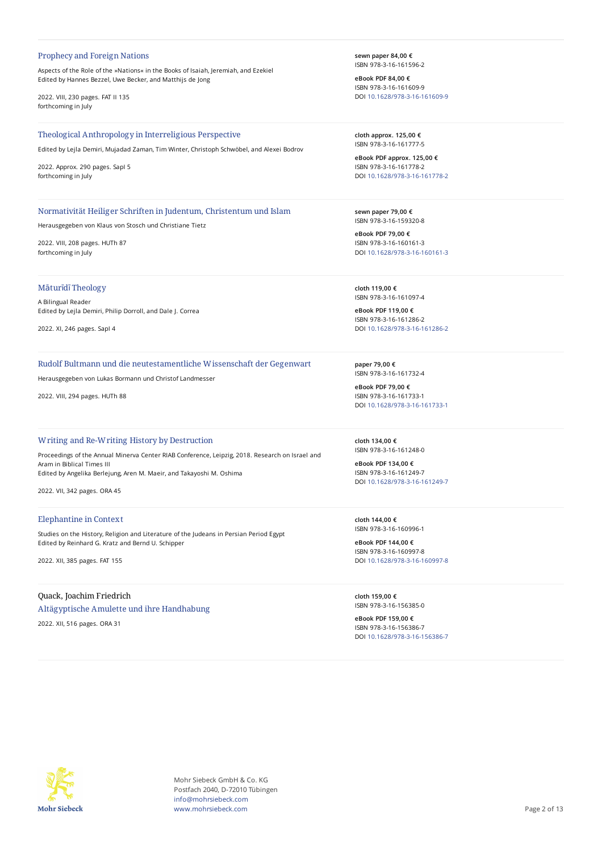#### Prophecy and Foreign Nations

Aspects of the Role of the »Nations« in the Books of Isaiah, Jeremiah, and Ezekiel Edited by Hannes Bezzel, Uwe Becker, and Matthijs de Jong

2022. VIII, 230 pages. FAT II 135 forthcoming in July

#### Theological Anthropology in Interreligious Perspective

Edited by Lejla Demiri, Mujadad Zaman, Tim Winter, Christoph Schwöbel, and Alexei Bodrov

2022. Approx. 290 pages. SapI 5 forthcoming in July

# Normativität Heiliger Schriften in Judentum, Christentum und Islam

Herausgegeben von Klaus von Stosch und Christiane Tietz

2022. VIII, 208 pages. HUTh 87 forthcoming in July

# Māturīdī Theology

A Bilingual Reader Edited by Lejla Demiri, Philip Dorroll, and Dale J. Correa

2022. XI, 246 pages. SapI 4

## Rudolf Bultmann und die neutestamentliche Wissenschaft der Gegenwart

Herausgegeben von Lukas Bormann und Christof Landmesser

2022. VIII, 294 pages. HUTh 88

#### Writing and Re-Writing History by Destruction

Proceedings of the Annual Minerva Center RIAB Conference, Leipzig, 2018. Research on Israel and Aram in Biblical Times III Edited by Angelika Berlejung, Aren M. Maeir, and Takayoshi M. Oshima

2022. VII, 342 pages. ORA 45

#### Elephantine in Context

Studies on the History, Religion and Literature of the Judeans in Persian Period Egypt Edited by Reinhard G. Kratz and Bernd U. Schipper

2022. XII, 385 pages. FAT 155

## Quack, Joachim Friedrich

Altägyptische Amulette und ihre Handhabung

2022. XII, 516 pages. ORA 31

**sewn paper 84,00 €** ISBN 978-3-16-161596-2

**eBook PDF 84,00 €** ISBN 978-3-16-161609-9 DOI [10.1628/978-3-16-161609-9](https://doi.org/10.1628/978-3-16-161609-9)

**cloth approx. 125,00 €** ISBN 978-3-16-161777-5

**eBook PDF approx. 125,00 €** ISBN 978-3-16-161778-2 DOI [10.1628/978-3-16-161778-2](https://doi.org/10.1628/978-3-16-161778-2)

**sewn paper 79,00 €** ISBN 978-3-16-159320-8

**eBook PDF 79,00 €** ISBN 978-3-16-160161-3 DOI [10.1628/978-3-16-160161-3](https://doi.org/10.1628/978-3-16-160161-3)

**cloth 119,00 €** ISBN 978-3-16-161097-4

**eBook PDF 119,00 €** ISBN 978-3-16-161286-2 DOI [10.1628/978-3-16-161286-2](https://doi.org/10.1628/978-3-16-161286-2)

**paper 79,00 €** ISBN 978-3-16-161732-4

**eBook PDF 79,00 €** ISBN 978-3-16-161733-1 DOI [10.1628/978-3-16-161733-1](https://doi.org/10.1628/978-3-16-161733-1)

**cloth 134,00 €** ISBN 978-3-16-161248-0

**eBook PDF 134,00 €** ISBN 978-3-16-161249-7 DOI [10.1628/978-3-16-161249-7](https://doi.org/10.1628/978-3-16-161249-7)

**cloth 144,00 €** ISBN 978-3-16-160996-1

**eBook PDF 144,00 €** ISBN 978-3-16-160997-8 DOI [10.1628/978-3-16-160997-8](https://doi.org/10.1628/978-3-16-160997-8)

**cloth 159,00 €** ISBN 978-3-16-156385-0

**eBook PDF 159,00 €** ISBN 978-3-16-156386-7 DOI [10.1628/978-3-16-156386-7](https://doi.org/10.1628/978-3-16-156386-7)



Mohr Siebeck GmbH & Co. KG Postfach 2040, D-72010 Tübingen info@mohrsiebeck.com www.mohrsiebeck.com **Page 2 of 13**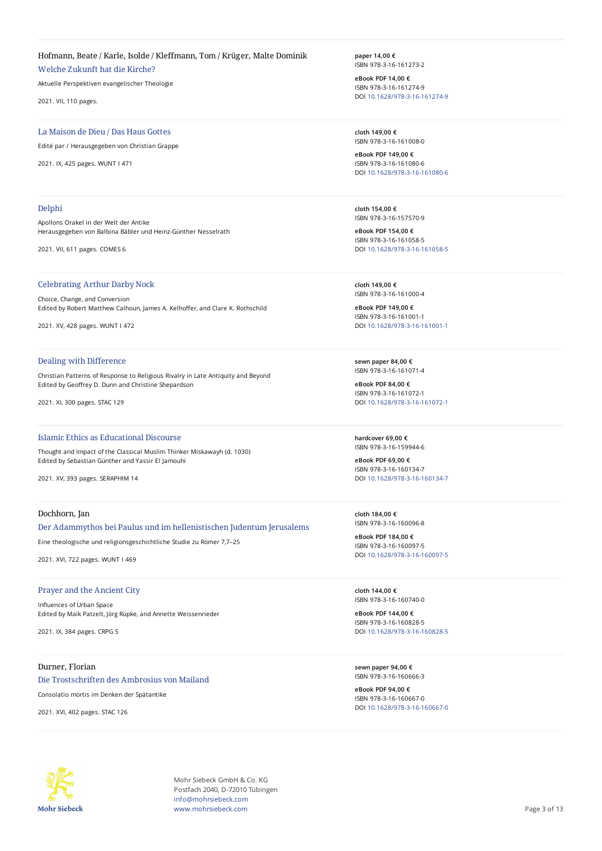# Hofmann, Beate / Karle, Isolde / Kleffmann, Tom / Krüger, Malte Dominik

Welche Zukunft hat die Kirche?

Aktuelle Perspektiven evangelischer Theologie

2021. VII, 110 pages.

# La Maison de Dieu / Das Haus Gottes

Edité par / Herausgegeben von Christian Grappe

2021. IX, 425 pages. WUNT I 471

#### Delphi

Apollons Orakel in der Welt der Antike Herausgegeben von Balbina Bäbler und Heinz-Günther Nesselrath

2021. VII, 611 pages. COMES 6

#### Celebrating Arthur Darby Nock

Choice, Change, and Conversion Edited by Robert Matthew Calhoun, James A. Kelhoffer, and Clare K. Rothschild

2021. XV, 428 pages. WUNT I 472

## Dealing with Difference

Christian Patterns of Response to Religious Rivalry in Late Antiquity and Beyond Edited by Geoffrey D. Dunn and Christine Shepardson

2021. XI, 300 pages. STAC 129

# Islamic Ethics as Educational Discourse

Thought and Impact of the Classical Muslim Thinker Miskawayh (d. 1030) Edited by Sebastian Günther and Yassir El Jamouhi

2021. XV, 393 pages. SERAPHIM 14

# Dochhorn, Jan

Der Adammythos bei Paulus und im hellenistischen Judentum Jerusalems

Eine theologische und religionsgeschichtliche Studie zu Römer 7,7–25

2021. XVI, 722 pages. WUNT I 469

# Prayer and the Ancient City

Influences of Urban Space Edited by Maik Patzelt, Jörg Rüpke, and Annette Weissenrieder

2021. IX, 384 pages. CRPG 5

# Durner, Florian

Die Trostschriften des Ambrosius von Mailand

Consolatio mortis im Denken der Spätantike

2021. XVI, 402 pages. STAC 126

**paper 14,00 €** ISBN 978-3-16-161273-2

**eBook PDF 14,00 €** ISBN 978-3-16-161274-9 DOI [10.1628/978-3-16-161274-9](https://doi.org/10.1628/978-3-16-161274-9)

**cloth 149,00 €** ISBN 978-3-16-161008-0

**eBook PDF 149,00 €** ISBN 978-3-16-161080-6 DOI [10.1628/978-3-16-161080-6](https://doi.org/10.1628/978-3-16-161080-6)

**cloth 154,00 €** ISBN 978-3-16-157570-9

**eBook PDF 154,00 €** ISBN 978-3-16-161058-5 DOI [10.1628/978-3-16-161058-5](https://doi.org/10.1628/978-3-16-161058-5)

**cloth 149,00 €** ISBN 978-3-16-161000-4

**eBook PDF 149,00 €** ISBN 978-3-16-161001-1 DOI [10.1628/978-3-16-161001-1](https://doi.org/10.1628/978-3-16-161001-1)

**sewn paper 84,00 €** ISBN 978-3-16-161071-4

**eBook PDF 84,00 €** ISBN 978-3-16-161072-1 DOI [10.1628/978-3-16-161072-1](https://doi.org/10.1628/978-3-16-161072-1)

**hardcover 69,00 €** ISBN 978-3-16-159944-6

**eBook PDF 69,00 €** ISBN 978-3-16-160134-7 DOI [10.1628/978-3-16-160134-7](https://doi.org/10.1628/978-3-16-160134-7)

**cloth 184,00 €** ISBN 978-3-16-160096-8

**eBook PDF 184,00 €** ISBN 978-3-16-160097-5 DOI [10.1628/978-3-16-160097-5](https://doi.org/10.1628/978-3-16-160097-5)

**cloth 144,00 €** ISBN 978-3-16-160740-0

**eBook PDF 144,00 €** ISBN 978-3-16-160828-5 DOI [10.1628/978-3-16-160828-5](https://doi.org/10.1628/978-3-16-160828-5)

**sewn paper 94,00 €** ISBN 978-3-16-160666-3

**eBook PDF 94,00 €** ISBN 978-3-16-160667-0 DOI [10.1628/978-3-16-160667-0](https://doi.org/10.1628/978-3-16-160667-0)



Mohr Siebeck GmbH & Co. KG Postfach 2040, D-72010 Tübingen info@mohrsiebeck.com www.mohrsiebeck.com **Page 3 of 13**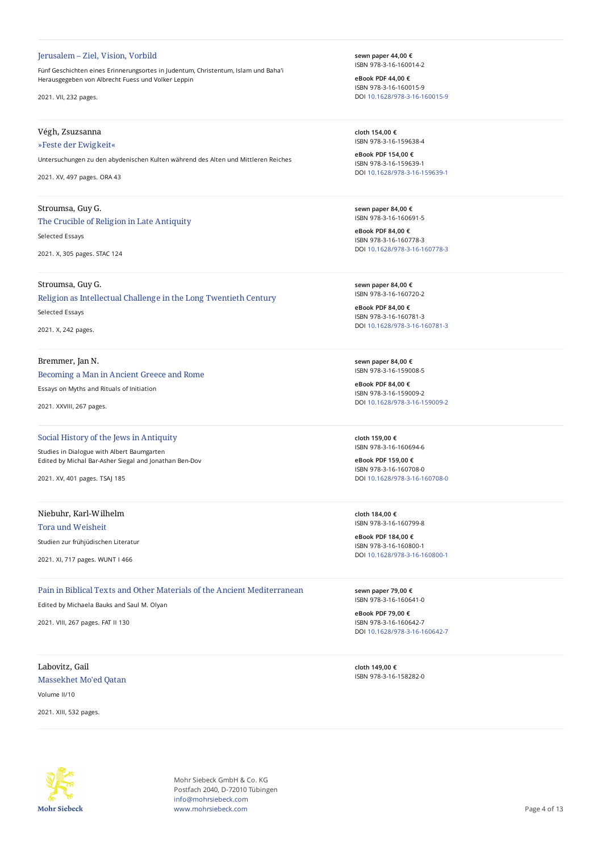#### Jerusalem – Ziel, Vision, Vorbild

Fünf Geschichten eines Erinnerungsortes in Judentum, Christentum, Islam und Baha'i Herausgegeben von Albrecht Fuess und Volker Leppin

2021. VII, 232 pages.

# Végh, Zsuzsanna

# »Feste der Ewigkeit«

Untersuchungen zu den abydenischen Kulten während des Alten und Mittleren Reiches

2021. XV, 497 pages. ORA 43

# Stroumsa, Guy G.

The Crucible of Religion in Late Antiquity

Selected Essays

2021. X, 305 pages. STAC 124

# Stroumsa, Guy G.

Religion as Intellectual Challenge in the Long Twentieth Century Selected Essays 2021. X, 242 pages.

# Bremmer, Jan N.

# Becoming a Man in Ancient Greece and Rome

Essays on Myths and Rituals of Initiation

2021. XXVIII, 267 pages.

# Social History of the Jews in Antiquity

Studies in Dialogue with Albert Baumgarten Edited by Michal Bar-Asher Siegal and Jonathan Ben-Dov

2021. XV, 401 pages. TSAJ 185

# Niebuhr, Karl-Wilhelm

Tora und Weisheit

Studien zur frühjüdischen Literatur

2021. XI, 717 pages. WUNT I 466

Pain in Biblical Texts and Other Materials of the Ancient Mediterranean Edited by Michaela Bauks and Saul M. Olyan

2021. VIII, 267 pages. FAT II 130

Labovitz, Gail Massekhet Mo'ed Qatan

Volume II/10

2021. XIII, 532 pages.

**sewn paper 44,00 €** ISBN 978-3-16-160014-2

**eBook PDF 44,00 €** ISBN 978-3-16-160015-9 DOI [10.1628/978-3-16-160015-9](https://doi.org/10.1628/978-3-16-160015-9)

**cloth 154,00 €** ISBN 978-3-16-159638-4

**eBook PDF 154,00 €** ISBN 978-3-16-159639-1 DOI [10.1628/978-3-16-159639-1](https://doi.org/10.1628/978-3-16-159639-1)

**sewn paper 84,00 €** ISBN 978-3-16-160691-5

**eBook PDF 84,00 €** ISBN 978-3-16-160778-3 DOI [10.1628/978-3-16-160778-3](https://doi.org/10.1628/978-3-16-160778-3)

**sewn paper 84,00 €** ISBN 978-3-16-160720-2

**eBook PDF 84,00 €** ISBN 978-3-16-160781-3 DOI [10.1628/978-3-16-160781-3](https://doi.org/10.1628/978-3-16-160781-3)

**sewn paper 84,00 €** ISBN 978-3-16-159008-5

**eBook PDF 84,00 €** ISBN 978-3-16-159009-2 DOI [10.1628/978-3-16-159009-2](https://doi.org/10.1628/978-3-16-159009-2)

**cloth 159,00 €** ISBN 978-3-16-160694-6

**eBook PDF 159,00 €** ISBN 978-3-16-160708-0 DOI [10.1628/978-3-16-160708-0](https://doi.org/10.1628/978-3-16-160708-0)

**cloth 184,00 €** ISBN 978-3-16-160799-8

**eBook PDF 184,00 €** ISBN 978-3-16-160800-1 DOI [10.1628/978-3-16-160800-1](https://doi.org/10.1628/978-3-16-160800-1)

**sewn paper 79,00 €** ISBN 978-3-16-160641-0

**eBook PDF 79,00 €** ISBN 978-3-16-160642-7 DOI [10.1628/978-3-16-160642-7](https://doi.org/10.1628/978-3-16-160642-7)

**cloth 149,00 €** ISBN 978-3-16-158282-0



Mohr Siebeck GmbH & Co. KG Postfach 2040, D-72010 Tübingen info@mohrsiebeck.com www.mohrsiebeck.com **Page 4 of 13**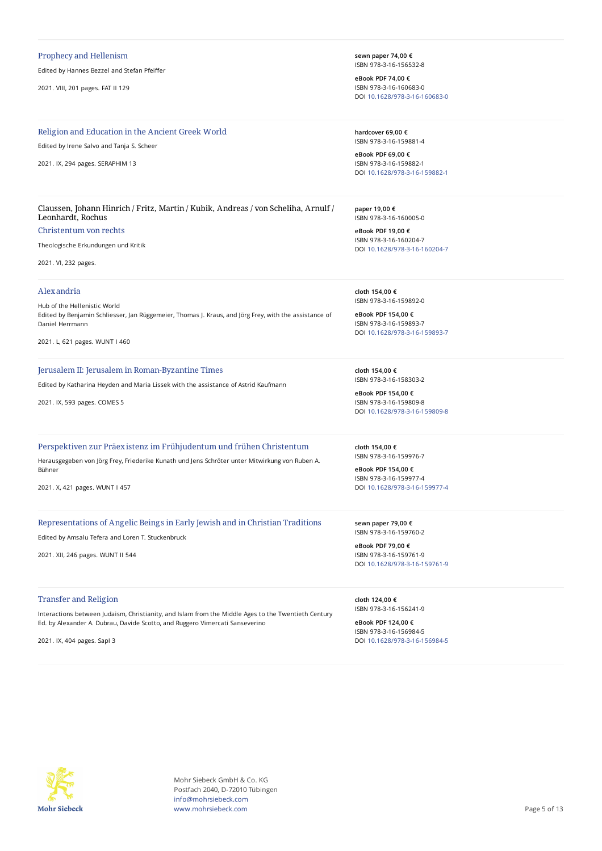#### Prophecy and Hellenism

Edited by Hannes Bezzel and Stefan Pfeiffer

2021. VIII, 201 pages. FAT II 129

# Religion and Education in the Ancient Greek World

Edited by Irene Salvo and Tanja S. Scheer

2021. IX, 294 pages. SERAPHIM 13

**sewn paper 74,00 €** ISBN 978-3-16-156532-8

**eBook PDF 74,00 €** ISBN 978-3-16-160683-0 DOI [10.1628/978-3-16-160683-0](https://doi.org/10.1628/978-3-16-160683-0)

**hardcover 69,00 €** ISBN 978-3-16-159881-4

**eBook PDF 69,00 €** ISBN 978-3-16-159882-1 DOI [10.1628/978-3-16-159882-1](https://doi.org/10.1628/978-3-16-159882-1)

Claussen, Johann Hinrich / Fritz, Martin / Kubik, Andreas / von Scheliha, Arnulf / Leonhardt, Rochus

# Christentum von rechts

Theologische Erkundungen und Kritik

2021. VI, 232 pages.

#### Alexandria

Hub of the Hellenistic World Edited by Benjamin Schliesser, Jan Rüggemeier, Thomas J. Kraus, and Jörg Frey, with the assistance of Daniel Herrmann

2021. L, 621 pages. WUNT I 460

# Jerusalem II: Jerusalem in Roman-Byzantine Times

Edited by Katharina Heyden and Maria Lissek with the assistance of Astrid Kaufmann

2021. IX, 593 pages. COMES 5

#### Perspektiven zur Präexistenz im Frühjudentum und frühen Christentum

Herausgegeben von Jörg Frey, Friederike Kunath und Jens Schröter unter Mitwirkung von Ruben A. Bühner

2021. X, 421 pages. WUNT I 457

Representations of Angelic Beings in Early Jewish and in Christian Traditions

Edited by Amsalu Tefera and Loren T. Stuckenbruck

2021. XII, 246 pages. WUNT II 544

#### Transfer and Religion

Interactions between Judaism, Christianity, and Islam from the Middle Ages to the Twentieth Century Ed. by Alexander A. Dubrau, Davide Scotto, and Ruggero Vimercati Sanseverino

2021. IX, 404 pages. SapI 3

ISBN 978-3-16-160005-0 **eBook PDF 19,00 €**

**paper 19,00 €**

ISBN 978-3-16-160204-7 DOI [10.1628/978-3-16-160204-7](https://doi.org/10.1628/978-3-16-160204-7)

**cloth 154,00 €** ISBN 978-3-16-159892-0

**eBook PDF 154,00 €** ISBN 978-3-16-159893-7 DOI [10.1628/978-3-16-159893-7](https://doi.org/10.1628/978-3-16-159893-7)

**cloth 154,00 €** ISBN 978-3-16-158303-2

**eBook PDF 154,00 €** ISBN 978-3-16-159809-8 DOI [10.1628/978-3-16-159809-8](https://doi.org/10.1628/978-3-16-159809-8)

**cloth 154,00 €** ISBN 978-3-16-159976-7

**eBook PDF 154,00 €** ISBN 978-3-16-159977-4 DOI [10.1628/978-3-16-159977-4](https://doi.org/10.1628/978-3-16-159977-4)

**sewn paper 79,00 €** ISBN 978-3-16-159760-2

**eBook PDF 79,00 €** ISBN 978-3-16-159761-9 DOI [10.1628/978-3-16-159761-9](https://doi.org/10.1628/978-3-16-159761-9)

**cloth 124,00 €** ISBN 978-3-16-156241-9

**eBook PDF 124,00 €** ISBN 978-3-16-156984-5 DOI [10.1628/978-3-16-156984-5](https://doi.org/10.1628/978-3-16-156984-5)



Mohr Siebeck GmbH & Co. KG Postfach 2040, D-72010 Tübingen info@mohrsiebeck.com www.mohrsiebeck.com **Page 5 of 13**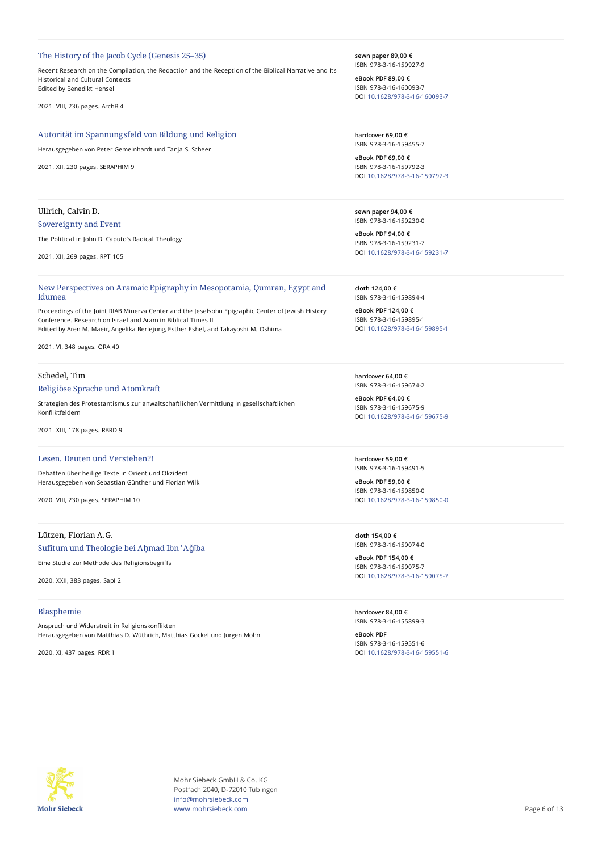#### The History of the Jacob Cycle (Genesis 25–35)

Recent Research on the Compilation, the Redaction and the Reception of the Biblical Narrative and Its Historical and Cultural Contexts Edited by Benedikt Hensel

2021. VIII, 236 pages. ArchB 4

# Autorität im Spannungsfeld von Bildung und Religion

Herausgegeben von Peter Gemeinhardt und Tanja S. Scheer

2021. XII, 230 pages. SERAPHIM 9

# Ullrich, Calvin D.

# Sovereignty and Event

The Political in John D. Caputo's Radical Theology

2021. XII, 269 pages. RPT 105

New Perspectives on Aramaic Epigraphy in Mesopotamia, Qumran, Egypt and Idumea

Proceedings of the Joint RIAB Minerva Center and the Jeselsohn Epigraphic Center of Jewish History Conference. Research on Israel and Aram in Biblical Times II Edited by Aren M. Maeir, Angelika Berlejung, Esther Eshel, and Takayoshi M. Oshima

2021. VI, 348 pages. ORA 40

## Schedel, Tim

#### Religiöse Sprache und Atomkraft

Strategien des Protestantismus zur anwaltschaftlichen Vermittlung in gesellschaftlichen Konfliktfeldern

2021. XIII, 178 pages. RBRD 9

# Lesen, Deuten und Verstehen?!

Debatten über heilige Texte in Orient und Okzident Herausgegeben von Sebastian Günther und Florian Wilk

2020. VIII, 230 pages. SERAPHIM 10

# Lützen, Florian A.G.

# Sufitum und Theologie bei Aḥmad Ibn ʿAǧība

Eine Studie zur Methode des Religionsbegriffs

2020. XXII, 383 pages. SapI 2

#### Blasphemie

Anspruch und Widerstreit in Religionskonflikten Herausgegeben von Matthias D. Wüthrich, Matthias Gockel und Jürgen Mohn

2020. XI, 437 pages. RDR 1

**sewn paper 89,00 €** ISBN 978-3-16-159927-9

**eBook PDF 89,00 €** ISBN 978-3-16-160093-7 DOI [10.1628/978-3-16-160093-7](https://doi.org/10.1628/978-3-16-160093-7)

**hardcover 69,00 €** ISBN 978-3-16-159455-7

**eBook PDF 69,00 €** ISBN 978-3-16-159792-3 DOI [10.1628/978-3-16-159792-3](https://doi.org/10.1628/978-3-16-159792-3)

**sewn paper 94,00 €** ISBN 978-3-16-159230-0

**eBook PDF 94,00 €** ISBN 978-3-16-159231-7 DOI [10.1628/978-3-16-159231-7](https://doi.org/10.1628/978-3-16-159231-7)

**cloth 124,00 €** ISBN 978-3-16-159894-4

**eBook PDF 124,00 €** ISBN 978-3-16-159895-1 DOI [10.1628/978-3-16-159895-1](https://doi.org/10.1628/978-3-16-159895-1)

**hardcover 64,00 €** ISBN 978-3-16-159674-2

**eBook PDF 64,00 €** ISBN 978-3-16-159675-9 DOI [10.1628/978-3-16-159675-9](https://doi.org/10.1628/978-3-16-159675-9)

**hardcover 59,00 €** ISBN 978-3-16-159491-5

**eBook PDF 59,00 €** ISBN 978-3-16-159850-0 DOI [10.1628/978-3-16-159850-0](https://doi.org/10.1628/978-3-16-159850-0)

**cloth 154,00 €** ISBN 978-3-16-159074-0

**eBook PDF 154,00 €** ISBN 978-3-16-159075-7 DOI [10.1628/978-3-16-159075-7](https://doi.org/10.1628/978-3-16-159075-7)

**hardcover 84,00 €** ISBN 978-3-16-155899-3

**eBook PDF** ISBN 978-3-16-159551-6 DOI [10.1628/978-3-16-159551-6](https://doi.org/10.1628/978-3-16-159551-6)



Mohr Siebeck GmbH & Co. KG Postfach 2040, D-72010 Tübingen info@mohrsiebeck.com www.mohrsiebeck.com **Page 6 of 13**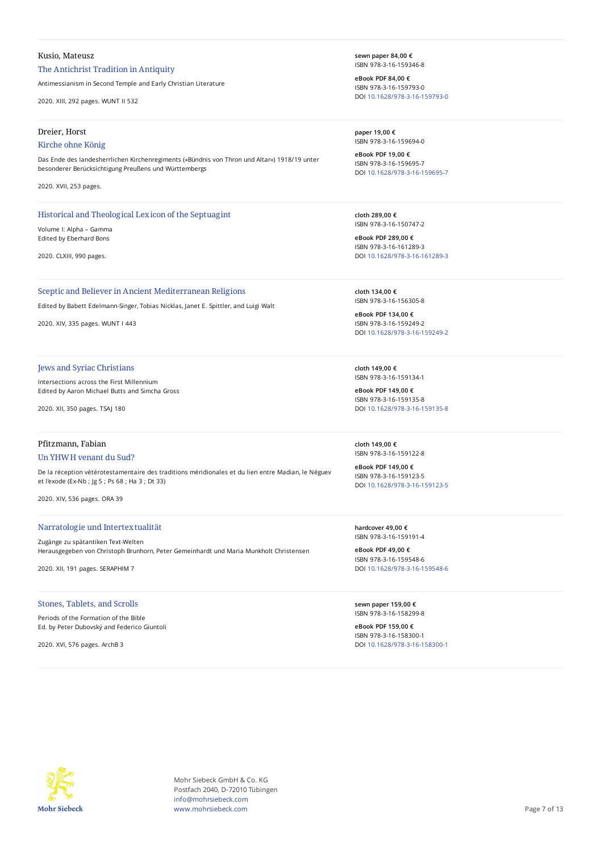## Kusio, Mateusz

# The Antichrist Tradition in Antiquity

Antimessianism in Second Temple and Early Christian Literature

2020. XIII, 292 pages. WUNT II 532

#### Dreier, Horst

#### Kirche ohne König

Das Ende des landesherrlichen Kirchenregiments (»Bündnis von Thron und Altar«) 1918/19 unter besonderer Berücksichtigung Preußens und Württembergs

2020. XVII, 253 pages.

# Historical and Theological Lexicon of the Septuagint

Volume I: Alpha – Gamma Edited by Eberhard Bons

2020. CLXIII, 990 pages.

#### Sceptic and Believer in Ancient Mediterranean Religions

Edited by Babett Edelmann-Singer, Tobias Nicklas, Janet E. Spittler, and Luigi Walt

2020. XIV, 335 pages. WUNT I 443

#### Jews and Syriac Christians

Intersections across the First Millennium Edited by Aaron Michael Butts and Simcha Gross

2020. XII, 350 pages. TSAJ 180

#### Pfitzmann, Fabian

#### Un YHWH venant du Sud?

De la réception vétérotestamentaire des traditions méridionales et du lien entre Madian, le Néguev et l'exode (Ex-Nb ; Jg 5 ; Ps 68 ; Ha 3 ; Dt 33)

2020. XIV, 536 pages. ORA 39

#### Narratologie und Intertextualität

Zugänge zu spätantiken Text-Welten Herausgegeben von Christoph Brunhorn, Peter Gemeinhardt und Maria Munkholt Christensen

2020. XII, 191 pages. SERAPHIM 7

## Stones, Tablets, and Scrolls

Periods of the Formation of the Bible Ed. by Peter Dubovský and Federico Giuntoli

2020. XVI, 576 pages. ArchB 3

**sewn paper 84,00 €** ISBN 978-3-16-159346-8

**eBook PDF 84,00 €** ISBN 978-3-16-159793-0 DOI [10.1628/978-3-16-159793-0](https://doi.org/10.1628/978-3-16-159793-0)

**paper 19,00 €** ISBN 978-3-16-159694-0

**eBook PDF 19,00 €** ISBN 978-3-16-159695-7 DOI [10.1628/978-3-16-159695-7](https://doi.org/10.1628/978-3-16-159695-7)

**cloth 289,00 €** ISBN 978-3-16-150747-2

**eBook PDF 289,00 €** ISBN 978-3-16-161289-3 DOI [10.1628/978-3-16-161289-3](https://doi.org/10.1628/978-3-16-161289-3)

**cloth 134,00 €** ISBN 978-3-16-156305-8

**eBook PDF 134,00 €** ISBN 978-3-16-159249-2 DOI [10.1628/978-3-16-159249-2](https://doi.org/10.1628/978-3-16-159249-2)

**cloth 149,00 €** ISBN 978-3-16-159134-1

**eBook PDF 149,00 €** ISBN 978-3-16-159135-8 DOI [10.1628/978-3-16-159135-8](https://doi.org/10.1628/978-3-16-159135-8)

**cloth 149,00 €** ISBN 978-3-16-159122-8

**eBook PDF 149,00 €** ISBN 978-3-16-159123-5 DOI [10.1628/978-3-16-159123-5](https://doi.org/10.1628/978-3-16-159123-5)

**hardcover 49,00 €** ISBN 978-3-16-159191-4

**eBook PDF 49,00 €** ISBN 978-3-16-159548-6 DOI [10.1628/978-3-16-159548-6](https://doi.org/10.1628/978-3-16-159548-6)

**sewn paper 159,00 €** ISBN 978-3-16-158299-8

**eBook PDF 159,00 €** ISBN 978-3-16-158300-1 DOI [10.1628/978-3-16-158300-1](https://doi.org/10.1628/978-3-16-158300-1)



Mohr Siebeck GmbH & Co. KG Postfach 2040, D-72010 Tübingen info@mohrsiebeck.com www.mohrsiebeck.com **Page 7 of 13**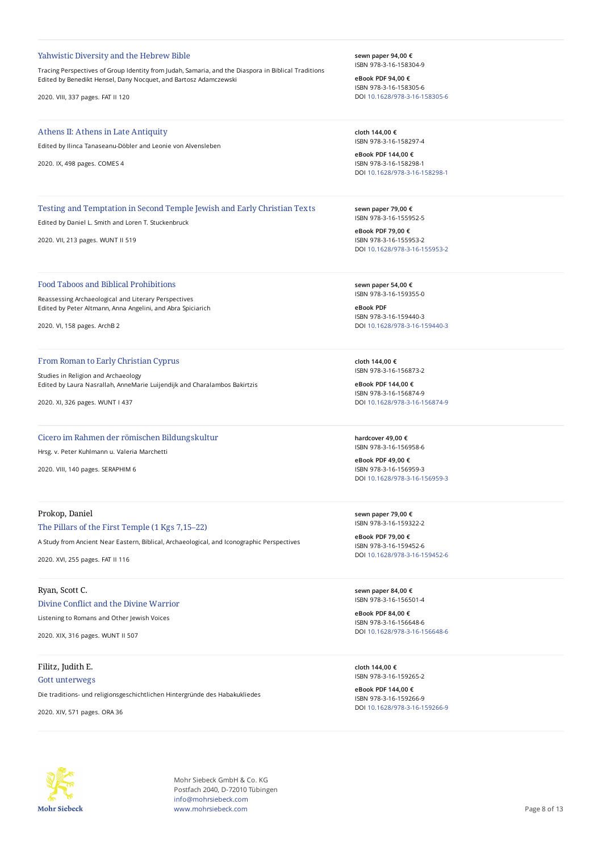#### Yahwistic Diversity and the Hebrew Bible

Tracing Perspectives of Group Identity from Judah, Samaria, and the Diaspora in Biblical Traditions Edited by Benedikt Hensel, Dany Nocquet, and Bartosz Adamczewski

2020. VIII, 337 pages. FAT II 120

#### Athens II: Athens in Late Antiquity

Edited by Ilinca Tanaseanu-Döbler and Leonie von Alvensleben

2020. IX, 498 pages. COMES 4

#### **sewn paper 94,00 €** ISBN 978-3-16-158304-9

**eBook PDF 94,00 €** ISBN 978-3-16-158305-6 DOI [10.1628/978-3-16-158305-6](https://doi.org/10.1628/978-3-16-158305-6)

**cloth 144,00 €** ISBN 978-3-16-158297-4

**eBook PDF 144,00 €** ISBN 978-3-16-158298-1 DOI [10.1628/978-3-16-158298-1](https://doi.org/10.1628/978-3-16-158298-1)

Testing and Temptation in Second Temple Jewish and Early Christian Texts

Edited by Daniel L. Smith and Loren T. Stuckenbruck

2020. VII, 213 pages. WUNT II 519

# Food Taboos and Biblical Prohibitions

Reassessing Archaeological and Literary Perspectives Edited by Peter Altmann, Anna Angelini, and Abra Spiciarich

2020. VI, 158 pages. ArchB 2

# From Roman to Early Christian Cyprus

Studies in Religion and Archaeology Edited by Laura Nasrallah, AnneMarie Luijendijk and Charalambos Bakirtzis

2020. XI, 326 pages. WUNT I 437

# Cicero im Rahmen der römischen Bildungskultur

Hrsg. v. Peter Kuhlmann u. Valeria Marchetti

2020. VIII, 140 pages. SERAPHIM 6

# Prokop, Daniel

#### The Pillars of the First Temple (1 Kgs 7,15–22)

A Study from Ancient Near Eastern, Biblical, Archaeological, and Iconographic Perspectives

2020. XVI, 255 pages. FAT II 116

# Ryan, Scott C. Divine Conflict and the Divine Warrior

Listening to Romans and Other Jewish Voices

2020. XIX, 316 pages. WUNT II 507

# Filitz, Judith E.

# Gott unterwegs

Die traditions- und religionsgeschichtlichen Hintergründe des Habakukliedes

2020. XIV, 571 pages. ORA 36

ISBN 978-3-16-155952-5 **eBook PDF 79,00 €** ISBN 978-3-16-155953-2

DOI [10.1628/978-3-16-155953-2](https://doi.org/10.1628/978-3-16-155953-2)

**sewn paper 79,00 €**

**sewn paper 54,00 €** ISBN 978-3-16-159355-0

**eBook PDF** ISBN 978-3-16-159440-3 DOI [10.1628/978-3-16-159440-3](https://doi.org/10.1628/978-3-16-159440-3)

**cloth 144,00 €** ISBN 978-3-16-156873-2

**eBook PDF 144,00 €** ISBN 978-3-16-156874-9 DOI [10.1628/978-3-16-156874-9](https://doi.org/10.1628/978-3-16-156874-9)

**hardcover 49,00 €** ISBN 978-3-16-156958-6

**eBook PDF 49,00 €** ISBN 978-3-16-156959-3 DOI [10.1628/978-3-16-156959-3](https://doi.org/10.1628/978-3-16-156959-3)

**sewn paper 79,00 €** ISBN 978-3-16-159322-2

**eBook PDF 79,00 €** ISBN 978-3-16-159452-6 DOI [10.1628/978-3-16-159452-6](https://doi.org/10.1628/978-3-16-159452-6)

**sewn paper 84,00 €** ISBN 978-3-16-156501-4

**eBook PDF 84,00 €** ISBN 978-3-16-156648-6 DOI [10.1628/978-3-16-156648-6](https://doi.org/10.1628/978-3-16-156648-6)

**cloth 144,00 €** ISBN 978-3-16-159265-2

**eBook PDF 144,00 €** ISBN 978-3-16-159266-9 DOI [10.1628/978-3-16-159266-9](https://doi.org/10.1628/978-3-16-159266-9)



Mohr Siebeck GmbH & Co. KG Postfach 2040, D-72010 Tübingen info@mohrsiebeck.com www.mohrsiebeck.com **Page 8 of 13**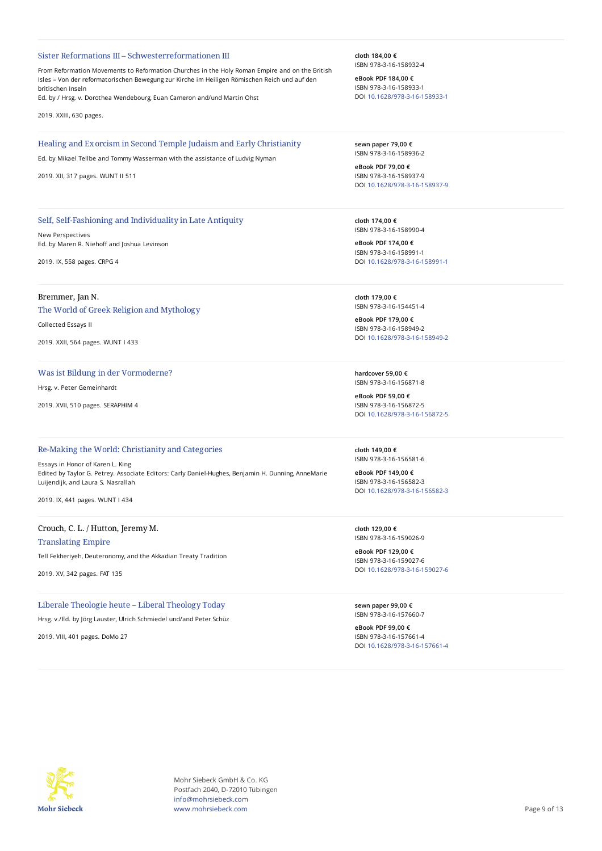#### Sister Reformations III – Schwesterreformationen III

From Reformation Movements to Reformation Churches in the Holy Roman Empire and on the British Isles – Von der reformatorischen Bewegung zur Kirche im Heiligen Römischen Reich und auf den britischen Inseln

Ed. by / Hrsg. v. Dorothea Wendebourg, Euan Cameron and/und Martin Ohst

2019. XXIII, 630 pages.

#### Healing and Exorcism in Second Temple Judaism and Early Christianity

Ed. by Mikael Tellbe and Tommy Wasserman with the assistance of Ludvig Nyman

2019. XII, 317 pages. WUNT II 511

# Self, Self-Fashioning and Individuality in Late Antiquity

New Perspectives Ed. by Maren R. Niehoff and Joshua Levinson

2019. IX, 558 pages. CRPG 4

## Bremmer, Jan N.

The World of Greek Religion and Mythology

Collected Essays II

2019. XXII, 564 pages. WUNT I 433

## Was ist Bildung in der Vormoderne?

Hrsg. v. Peter Gemeinhardt

2019. XVII, 510 pages. SERAPHIM 4

#### Re-Making the World: Christianity and Categories

Essays in Honor of Karen L. King Edited by Taylor G. Petrey. Associate Editors: Carly Daniel-Hughes, Benjamin H. Dunning, AnneMarie Luijendijk, and Laura S. Nasrallah

2019. IX, 441 pages. WUNT I 434

# Crouch, C. L. / Hutton, Jeremy M.

Translating Empire

Tell Fekheriyeh, Deuteronomy, and the Akkadian Treaty Tradition

2019. XV, 342 pages. FAT 135

# Liberale Theologie heute – Liberal Theology Today

Hrsg. v./Ed. by Jörg Lauster, Ulrich Schmiedel und/and Peter Schüz

2019. VIII, 401 pages. DoMo 27

**cloth 184,00 €** ISBN 978-3-16-158932-4

**eBook PDF 184,00 €** ISBN 978-3-16-158933-1 DOI [10.1628/978-3-16-158933-1](https://doi.org/10.1628/978-3-16-158933-1)

**sewn paper 79,00 €** ISBN 978-3-16-158936-2

**eBook PDF 79,00 €** ISBN 978-3-16-158937-9 DOI [10.1628/978-3-16-158937-9](https://doi.org/10.1628/978-3-16-158937-9)

**cloth 174,00 €** ISBN 978-3-16-158990-4

**eBook PDF 174,00 €** ISBN 978-3-16-158991-1 DOI [10.1628/978-3-16-158991-1](https://doi.org/10.1628/978-3-16-158991-1)

**cloth 179,00 €** ISBN 978-3-16-154451-4

**eBook PDF 179,00 €** ISBN 978-3-16-158949-2 DOI [10.1628/978-3-16-158949-2](https://doi.org/10.1628/978-3-16-158949-2)

**hardcover 59,00 €** ISBN 978-3-16-156871-8

**eBook PDF 59,00 €** ISBN 978-3-16-156872-5 DOI [10.1628/978-3-16-156872-5](https://doi.org/10.1628/978-3-16-156872-5)

**cloth 149,00 €** ISBN 978-3-16-156581-6

**eBook PDF 149,00 €** ISBN 978-3-16-156582-3 DOI [10.1628/978-3-16-156582-3](https://doi.org/10.1628/978-3-16-156582-3)

**cloth 129,00 €** ISBN 978-3-16-159026-9

**eBook PDF 129,00 €** ISBN 978-3-16-159027-6 DOI [10.1628/978-3-16-159027-6](https://doi.org/10.1628/978-3-16-159027-6)

**sewn paper 99,00 €** ISBN 978-3-16-157660-7

**eBook PDF 99,00 €** ISBN 978-3-16-157661-4 DOI [10.1628/978-3-16-157661-4](https://doi.org/10.1628/978-3-16-157661-4)



Mohr Siebeck GmbH & Co. KG Postfach 2040, D-72010 Tübingen info@mohrsiebeck.com www.mohrsiebeck.com **Page 9 of 13**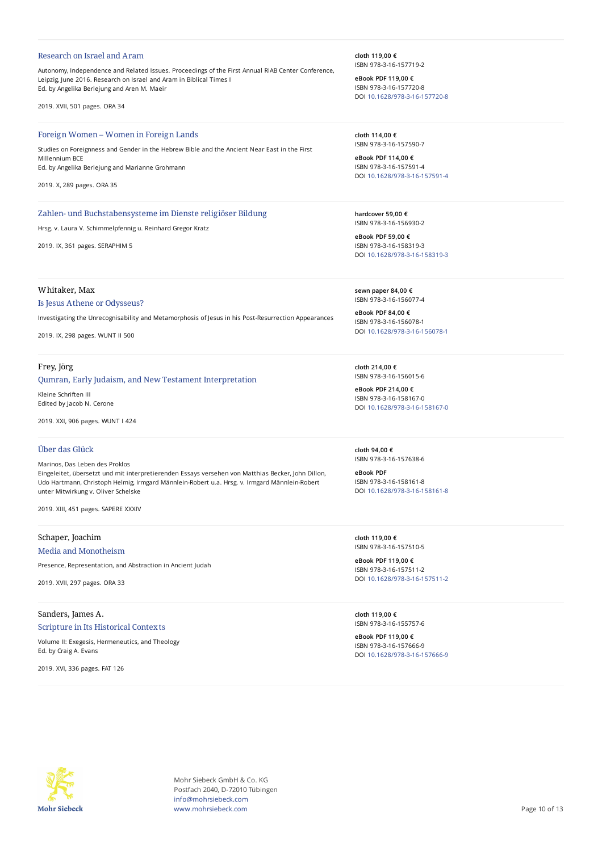#### Research on Israel and Aram

Autonomy, Independence and Related Issues. Proceedings of the First Annual RIAB Center Conference, Leipzig, June 2016. Research on Israel and Aram in Biblical Times I Ed. by Angelika Berlejung and Aren M. Maeir

2019. XVII, 501 pages. ORA 34

#### Foreign Women – Women in Foreign Lands

Studies on Foreignness and Gender in the Hebrew Bible and the Ancient Near East in the First Millennium BCE Ed. by Angelika Berlejung and Marianne Grohmann

2019. X, 289 pages. ORA 35

# Zahlen- und Buchstabensysteme im Dienste religiöser Bildung

Hrsg. v. Laura V. Schimmelpfennig u. Reinhard Gregor Kratz

2019. IX, 361 pages. SERAPHIM 5

Whitaker, Max

#### Is Jesus Athene or Odysseus?

Investigating the Unrecognisability and Metamorphosis of Jesus in his Post-Resurrection Appearances

2019. IX, 298 pages. WUNT II 500

## Frey, Jörg

## Qumran, Early Judaism, and New Testament Interpretation

Kleine Schriften III Edited by Jacob N. Cerone

2019. XXI, 906 pages. WUNT I 424

# Über das Glück

Marinos, Das Leben des Proklos Eingeleitet, übersetzt und mit interpretierenden Essays versehen von Matthias Becker, John Dillon, Udo Hartmann, Christoph Helmig, Irmgard Männlein-Robert u.a. Hrsg. v. Irmgard Männlein-Robert unter Mitwirkung v. Oliver Schelske

2019. XIII, 451 pages. SAPERE XXXIV

# Schaper, Joachim

Media and Monotheism

Presence, Representation, and Abstraction in Ancient Judah

2019. XVII, 297 pages. ORA 33

# Sanders, James A.

#### Scripture in Its Historical Contexts

Volume II: Exegesis, Hermeneutics, and Theology Ed. by Craig A. Evans

2019. XVI, 336 pages. FAT 126

**cloth 119,00 €** ISBN 978-3-16-157719-2

**eBook PDF 119,00 €** ISBN 978-3-16-157720-8 DOI [10.1628/978-3-16-157720-8](https://doi.org/10.1628/978-3-16-157720-8)

**cloth 114,00 €** ISBN 978-3-16-157590-7

**eBook PDF 114,00 €** ISBN 978-3-16-157591-4 DOI [10.1628/978-3-16-157591-4](https://doi.org/10.1628/978-3-16-157591-4)

**hardcover 59,00 €** ISBN 978-3-16-156930-2

**eBook PDF 59,00 €** ISBN 978-3-16-158319-3 DOI [10.1628/978-3-16-158319-3](https://doi.org/10.1628/978-3-16-158319-3)

**sewn paper 84,00 €** ISBN 978-3-16-156077-4

**eBook PDF 84,00 €** ISBN 978-3-16-156078-1 DOI [10.1628/978-3-16-156078-1](https://doi.org/10.1628/978-3-16-156078-1)

**cloth 214,00 €** ISBN 978-3-16-156015-6

**eBook PDF 214,00 €** ISBN 978-3-16-158167-0 DOI [10.1628/978-3-16-158167-0](https://doi.org/10.1628/978-3-16-158167-0)

**cloth 94,00 €** ISBN 978-3-16-157638-6

**eBook PDF** ISBN 978-3-16-158161-8 DOI [10.1628/978-3-16-158161-8](https://doi.org/10.1628/978-3-16-158161-8)

**cloth 119,00 €** ISBN 978-3-16-157510-5

**eBook PDF 119,00 €** ISBN 978-3-16-157511-2 DOI [10.1628/978-3-16-157511-2](https://doi.org/10.1628/978-3-16-157511-2)

**cloth 119,00 €** ISBN 978-3-16-155757-6

**eBook PDF 119,00 €** ISBN 978-3-16-157666-9 DOI [10.1628/978-3-16-157666-9](https://doi.org/10.1628/978-3-16-157666-9)



Mohr Siebeck GmbH & Co. KG Postfach 2040, D-72010 Tübingen info@mohrsiebeck.com www.mohrsiebeck.com **Page 10 of 13**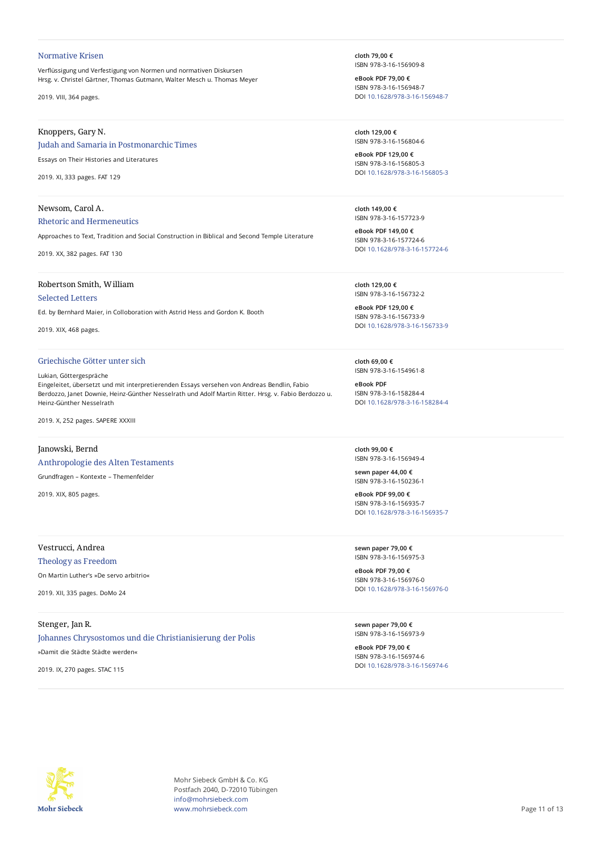#### Normative Krisen

Verflüssigung und Verfestigung von Normen und normativen Diskursen Hrsg. v. Christel Gärtner, Thomas Gutmann, Walter Mesch u. Thomas Meyer

2019. VIII, 364 pages.

# Knoppers, Gary N.

# Judah and Samaria in Postmonarchic Times

Essays on Their Histories and Literatures

2019. XI, 333 pages. FAT 129

## Newsom, Carol A.

#### Rhetoric and Hermeneutics

Approaches to Text, Tradition and Social Construction in Biblical and Second Temple Literature

2019. XX, 382 pages. FAT 130

# Robertson Smith, William

# Selected Letters

Ed. by Bernhard Maier, in Colloboration with Astrid Hess and Gordon K. Booth

2019. XIX, 468 pages.

# Griechische Götter unter sich

#### Lukian, Göttergespräche

Eingeleitet, übersetzt und mit interpretierenden Essays versehen von Andreas Bendlin, Fabio Berdozzo, Janet Downie, Heinz-Günther Nesselrath und Adolf Martin Ritter. Hrsg. v. Fabio Berdozzo u. Heinz-Günther Nesselrath

2019. X, 252 pages. SAPERE XXXIII

# Janowski, Bernd

#### Anthropologie des Alten Testaments

Grundfragen – Kontexte – Themenfelder

2019. XIX, 805 pages.

# Vestrucci, Andrea

# Theology as Freedom

On Martin Luther's »De servo arbitrio«

2019. XII, 335 pages. DoMo 24

# Stenger, Jan R.

# Johannes Chrysostomos und die Christianisierung der Polis

»Damit die Städte Städte werden«

2019. IX, 270 pages. STAC 115

**cloth 79,00 €** ISBN 978-3-16-156909-8

**eBook PDF 79,00 €** ISBN 978-3-16-156948-7 DOI [10.1628/978-3-16-156948-7](https://doi.org/10.1628/978-3-16-156948-7)

**cloth 129,00 €** ISBN 978-3-16-156804-6

**eBook PDF 129,00 €** ISBN 978-3-16-156805-3 DOI [10.1628/978-3-16-156805-3](https://doi.org/10.1628/978-3-16-156805-3)

**cloth 149,00 €** ISBN 978-3-16-157723-9

**eBook PDF 149,00 €** ISBN 978-3-16-157724-6 DOI [10.1628/978-3-16-157724-6](https://doi.org/10.1628/978-3-16-157724-6)

**cloth 129,00 €** ISBN 978-3-16-156732-2

**eBook PDF 129,00 €** ISBN 978-3-16-156733-9 DOI [10.1628/978-3-16-156733-9](https://doi.org/10.1628/978-3-16-156733-9)

**cloth 69,00 €** ISBN 978-3-16-154961-8

**eBook PDF** ISBN 978-3-16-158284-4 DOI [10.1628/978-3-16-158284-4](https://doi.org/10.1628/978-3-16-158284-4)

**cloth 99,00 €** ISBN 978-3-16-156949-4

**sewn paper 44,00 €** ISBN 978-3-16-150236-1

**eBook PDF 99,00 €** ISBN 978-3-16-156935-7 DOI [10.1628/978-3-16-156935-7](https://doi.org/10.1628/978-3-16-156935-7)

**sewn paper 79,00 €** ISBN 978-3-16-156975-3

**eBook PDF 79,00 €** ISBN 978-3-16-156976-0 DOI [10.1628/978-3-16-156976-0](https://doi.org/10.1628/978-3-16-156976-0)

**sewn paper 79,00 €** ISBN 978-3-16-156973-9

**eBook PDF 79,00 €** ISBN 978-3-16-156974-6 DOI [10.1628/978-3-16-156974-6](https://doi.org/10.1628/978-3-16-156974-6)



Mohr Siebeck GmbH & Co. KG Postfach 2040, D-72010 Tübingen info@mohrsiebeck.com www.mohrsiebeck.com **Page 11 of 13**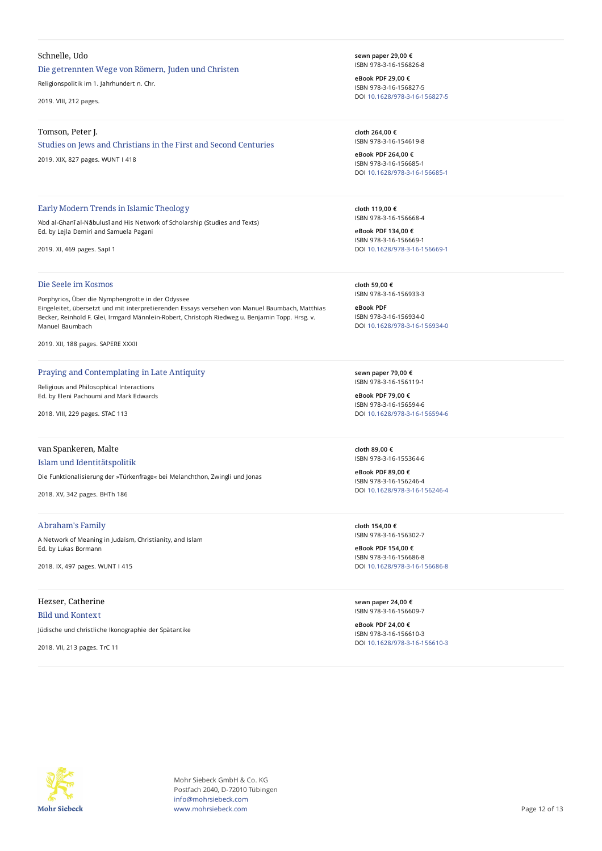## Schnelle, Udo

# Die getrennten Wege von Römern, Juden und Christen

Religionspolitik im 1. Jahrhundert n. Chr.

2019. VIII, 212 pages.

#### Tomson, Peter J.

## Studies on Jews and Christians in the First and Second Centuries

2019. XIX, 827 pages. WUNT I 418

## Early Modern Trends in Islamic Theology

'Abd al-Ghanī al-Nābulusī and His Network of Scholarship (Studies and Texts) Ed. by Lejla Demiri and Samuela Pagani

2019. XI, 469 pages. SapI 1

# Die Seele im Kosmos

Porphyrios, Über die Nymphengrotte in der Odyssee Eingeleitet, übersetzt und mit interpretierenden Essays versehen von Manuel Baumbach, Matthias Becker, Reinhold F. Glei, Irmgard Männlein-Robert, Christoph Riedweg u. Benjamin Topp. Hrsg. v. Manuel Baumbach

2019. XII, 188 pages. SAPERE XXXII

#### Praying and Contemplating in Late Antiquity

Religious and Philosophical Interactions Ed. by Eleni Pachoumi and Mark Edwards

2018. VIII, 229 pages. STAC 113

## van Spankeren, Malte

#### Islam und Identitätspolitik

Die Funktionalisierung der »Türkenfrage« bei Melanchthon, Zwingli und Jonas

2018. XV, 342 pages. BHTh 186

# Abraham's Family

A Network of Meaning in Judaism, Christianity, and Islam Ed. by Lukas Bormann

2018. IX, 497 pages. WUNT I 415

# Hezser, Catherine

# Bild und Kontext

Jüdische und christliche Ikonographie der Spätantike

2018. VII, 213 pages. TrC 11

**sewn paper 29,00 €** ISBN 978-3-16-156826-8

**eBook PDF 29,00 €** ISBN 978-3-16-156827-5 DOI [10.1628/978-3-16-156827-5](https://doi.org/10.1628/978-3-16-156827-5)

**cloth 264,00 €** ISBN 978-3-16-154619-8

**eBook PDF 264,00 €** ISBN 978-3-16-156685-1 DOI [10.1628/978-3-16-156685-1](https://doi.org/10.1628/978-3-16-156685-1)

**cloth 119,00 €** ISBN 978-3-16-156668-4

**eBook PDF 134,00 €** ISBN 978-3-16-156669-1 DOI [10.1628/978-3-16-156669-1](https://doi.org/10.1628/978-3-16-156669-1)

**cloth 59,00 €** ISBN 978-3-16-156933-3

**eBook PDF** ISBN 978-3-16-156934-0 DOI [10.1628/978-3-16-156934-0](https://doi.org/10.1628/978-3-16-156934-0)

**sewn paper 79,00 €** ISBN 978-3-16-156119-1

**eBook PDF 79,00 €** ISBN 978-3-16-156594-6 DOI [10.1628/978-3-16-156594-6](https://doi.org/10.1628/978-3-16-156594-6)

**cloth 89,00 €** ISBN 978-3-16-155364-6

**eBook PDF 89,00 €** ISBN 978-3-16-156246-4 DOI [10.1628/978-3-16-156246-4](https://doi.org/10.1628/978-3-16-156246-4)

**cloth 154,00 €** ISBN 978-3-16-156302-7

**eBook PDF 154,00 €** ISBN 978-3-16-156686-8 DOI [10.1628/978-3-16-156686-8](https://doi.org/10.1628/978-3-16-156686-8)

**sewn paper 24,00 €** ISBN 978-3-16-156609-7

**eBook PDF 24,00 €** ISBN 978-3-16-156610-3 DOI [10.1628/978-3-16-156610-3](https://doi.org/10.1628/978-3-16-156610-3)



Mohr Siebeck GmbH & Co. KG Postfach 2040, D-72010 Tübingen info@mohrsiebeck.com www.mohrsiebeck.com **Page 12 of 13**